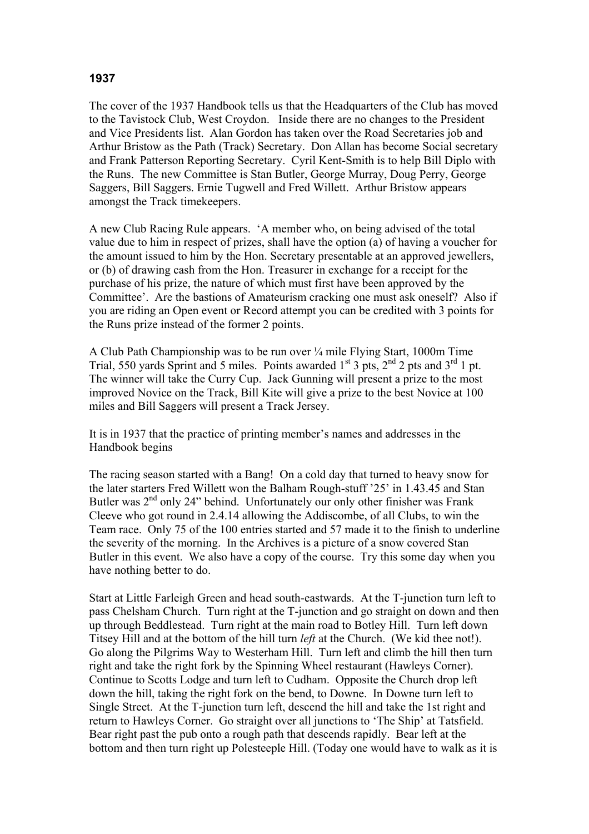## **1937**

The cover of the 1937 Handbook tells us that the Headquarters of the Club has moved to the Tavistock Club, West Croydon. Inside there are no changes to the President and Vice Presidents list. Alan Gordon has taken over the Road Secretaries job and Arthur Bristow as the Path (Track) Secretary. Don Allan has become Social secretary and Frank Patterson Reporting Secretary. Cyril Kent-Smith is to help Bill Diplo with the Runs. The new Committee is Stan Butler, George Murray, Doug Perry, George Saggers, Bill Saggers. Ernie Tugwell and Fred Willett. Arthur Bristow appears amongst the Track timekeepers.

A new Club Racing Rule appears. 'A member who, on being advised of the total value due to him in respect of prizes, shall have the option (a) of having a voucher for the amount issued to him by the Hon. Secretary presentable at an approved jewellers, or (b) of drawing cash from the Hon. Treasurer in exchange for a receipt for the purchase of his prize, the nature of which must first have been approved by the Committee'. Are the bastions of Amateurism cracking one must ask oneself? Also if you are riding an Open event or Record attempt you can be credited with 3 points for the Runs prize instead of the former 2 points.

A Club Path Championship was to be run over ¼ mile Flying Start, 1000m Time Trial, 550 yards Sprint and 5 miles. Points awarded  $1^{st}$  3 pts,  $2^{nd}$  2 pts and  $3^{rd}$  1 pt. The winner will take the Curry Cup. Jack Gunning will present a prize to the most improved Novice on the Track, Bill Kite will give a prize to the best Novice at 100 miles and Bill Saggers will present a Track Jersey.

It is in 1937 that the practice of printing member's names and addresses in the Handbook begins

The racing season started with a Bang! On a cold day that turned to heavy snow for the later starters Fred Willett won the Balham Rough-stuff '25' in 1.43.45 and Stan Butler was 2<sup>nd</sup> only 24" behind. Unfortunately our only other finisher was Frank Cleeve who got round in 2.4.14 allowing the Addiscombe, of all Clubs, to win the Team race. Only 75 of the 100 entries started and 57 made it to the finish to underline the severity of the morning. In the Archives is a picture of a snow covered Stan Butler in this event. We also have a copy of the course. Try this some day when you have nothing better to do.

Start at Little Farleigh Green and head south-eastwards. At the T-junction turn left to pass Chelsham Church. Turn right at the T-junction and go straight on down and then up through Beddlestead. Turn right at the main road to Botley Hill. Turn left down Titsey Hill and at the bottom of the hill turn *left* at the Church. (We kid thee not!). Go along the Pilgrims Way to Westerham Hill. Turn left and climb the hill then turn right and take the right fork by the Spinning Wheel restaurant (Hawleys Corner). Continue to Scotts Lodge and turn left to Cudham. Opposite the Church drop left down the hill, taking the right fork on the bend, to Downe. In Downe turn left to Single Street. At the T-junction turn left, descend the hill and take the 1st right and return to Hawleys Corner. Go straight over all junctions to 'The Ship' at Tatsfield. Bear right past the pub onto a rough path that descends rapidly. Bear left at the bottom and then turn right up Polesteeple Hill. (Today one would have to walk as it is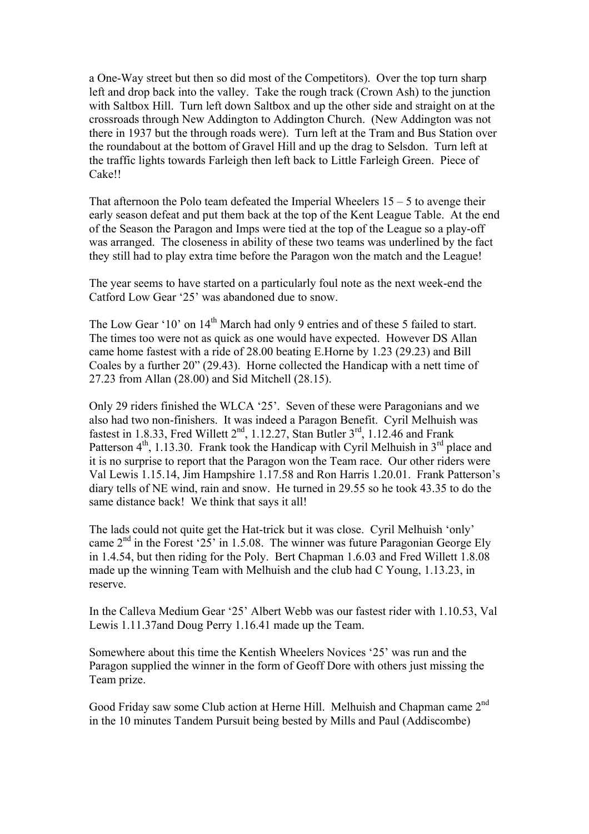a One-Way street but then so did most of the Competitors). Over the top turn sharp left and drop back into the valley. Take the rough track (Crown Ash) to the junction with Saltbox Hill. Turn left down Saltbox and up the other side and straight on at the crossroads through New Addington to Addington Church. (New Addington was not there in 1937 but the through roads were). Turn left at the Tram and Bus Station over the roundabout at the bottom of Gravel Hill and up the drag to Selsdon. Turn left at the traffic lights towards Farleigh then left back to Little Farleigh Green. Piece of Cake!!

That afternoon the Polo team defeated the Imperial Wheelers  $15 - 5$  to avenge their early season defeat and put them back at the top of the Kent League Table. At the end of the Season the Paragon and Imps were tied at the top of the League so a play-off was arranged. The closeness in ability of these two teams was underlined by the fact they still had to play extra time before the Paragon won the match and the League!

The year seems to have started on a particularly foul note as the next week-end the Catford Low Gear '25' was abandoned due to snow.

The Low Gear '10' on 14<sup>th</sup> March had only 9 entries and of these 5 failed to start. The times too were not as quick as one would have expected. However DS Allan came home fastest with a ride of 28.00 beating E.Horne by 1.23 (29.23) and Bill Coales by a further 20" (29.43). Horne collected the Handicap with a nett time of 27.23 from Allan (28.00) and Sid Mitchell (28.15).

Only 29 riders finished the WLCA '25'. Seven of these were Paragonians and we also had two non-finishers. It was indeed a Paragon Benefit. Cyril Melhuish was fastest in 1.8.33, Fred Willett  $2<sup>nd</sup>$ , 1.12.27, Stan Butler  $3<sup>rd</sup>$ , 1.12.46 and Frank Patterson  $4<sup>th</sup>$ , 1.13.30. Frank took the Handicap with Cyril Melhuish in  $3<sup>rd</sup>$  place and it is no surprise to report that the Paragon won the Team race. Our other riders were Val Lewis 1.15.14, Jim Hampshire 1.17.58 and Ron Harris 1.20.01. Frank Patterson's diary tells of NE wind, rain and snow. He turned in 29.55 so he took 43.35 to do the same distance back! We think that says it all!

The lads could not quite get the Hat-trick but it was close. Cyril Melhuish 'only' came  $2<sup>nd</sup>$  in the Forest '25' in 1.5.08. The winner was future Paragonian George Ely in 1.4.54, but then riding for the Poly. Bert Chapman 1.6.03 and Fred Willett 1.8.08 made up the winning Team with Melhuish and the club had C Young, 1.13.23, in reserve.

In the Calleva Medium Gear '25' Albert Webb was our fastest rider with 1.10.53, Val Lewis 1.11.37and Doug Perry 1.16.41 made up the Team.

Somewhere about this time the Kentish Wheelers Novices '25' was run and the Paragon supplied the winner in the form of Geoff Dore with others just missing the Team prize.

Good Friday saw some Club action at Herne Hill. Melhuish and Chapman came 2<sup>nd</sup> in the 10 minutes Tandem Pursuit being bested by Mills and Paul (Addiscombe)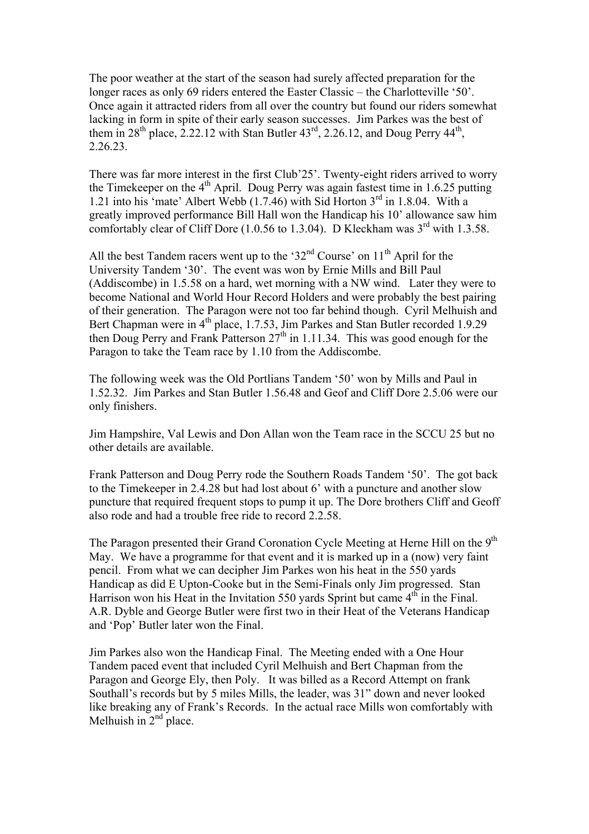The poor weather at the start of the season had surely affected preparation for the longer races as only 69 riders entered the Easter Classic – the Charlotteville '50'. Once again it attracted riders from all over the country but found our riders somewhat lacking in form in spite of their early season successes. Jim Parkes was the best of them in  $28^{th}$  place, 2.22.12 with Stan Butler  $43^{rd}$ , 2.26.12, and Doug Perry  $44^{th}$ , 2.26.23.

There was far more interest in the first Club'25'. Twenty-eight riders arrived to worry the Timekeeper on the  $4<sup>th</sup>$  April. Doug Perry was again fastest time in 1.6.25 putting 1.21 into his 'mate' Albert Webb  $(1.7.46)$  with Sid Horton  $3<sup>rd</sup>$  in 1.8.04. With a greatly improved performance Bill Hall won the Handicap his 10' allowance saw him comfortably clear of Cliff Dore  $(1.0.56 \text{ to } 1.3.04)$ . D Kleckham was  $3^{\text{rd}}$  with 1.3.58.

All the best Tandem racers went up to the '32<sup>nd</sup> Course' on  $11<sup>th</sup>$  April for the University Tandem '30'. The event was won by Ernie Mills and Bill Paul (Addiscombe) in 1.5.58 on a hard, wet morning with a NW wind. Later they were to become National and World Hour Record Holders and were probably the best pairing of their generation. The Paragon were not too far behind though. Cyril Melhuish and Bert Chapman were in  $4<sup>th</sup>$  place, 1.7.53, Jim Parkes and Stan Butler recorded 1.9.29 then Doug Perry and Frank Patterson  $27<sup>th</sup>$  in 1.11.34. This was good enough for the Paragon to take the Team race by 1.10 from the Addiscombe.

The following week was the Old Portlians Tandem '50' won by Mills and Paul in 1.52.32. Jim Parkes and Stan Butler 1.56.48 and Geof and Cliff Dore 2.5.06 were our only finishers.

Jim Hampshire, Val Lewis and Don Allan won the Team race in the SCCU 25 but no other details are available.

Frank Patterson and Doug Perry rode the Southern Roads Tandem '50'. The got back to the Timekeeper in 2.4.28 but had lost about 6' with a puncture and another slow puncture that required frequent stops to pump it up. The Dore brothers Cliff and Geoff also rode and had a trouble free ride to record 2.2.58.

The Paragon presented their Grand Coronation Cycle Meeting at Herne Hill on the 9<sup>th</sup> May. We have a programme for that event and it is marked up in a (now) very faint pencil. From what we can decipher Jim Parkes won his heat in the 550 yards Handicap as did E Upton-Cooke but in the Semi-Finals only Jim progressed. Stan Harrison won his Heat in the Invitation 550 yards Sprint but came  $4<sup>th</sup>$  in the Final. A.R. Dyble and George Butler were first two in their Heat of the Veterans Handicap and 'Pop' Butler later won the Final.

Jim Parkes also won the Handicap Final. The Meeting ended with a One Hour Tandem paced event that included Cyril Melhuish and Bert Chapman from the Paragon and George Ely, then Poly. It was billed as a Record Attempt on frank Southall's records but by 5 miles Mills, the leader, was 31" down and never looked like breaking any of Frank's Records. In the actual race Mills won comfortably with Melhuish in  $2<sup>nd</sup>$  place.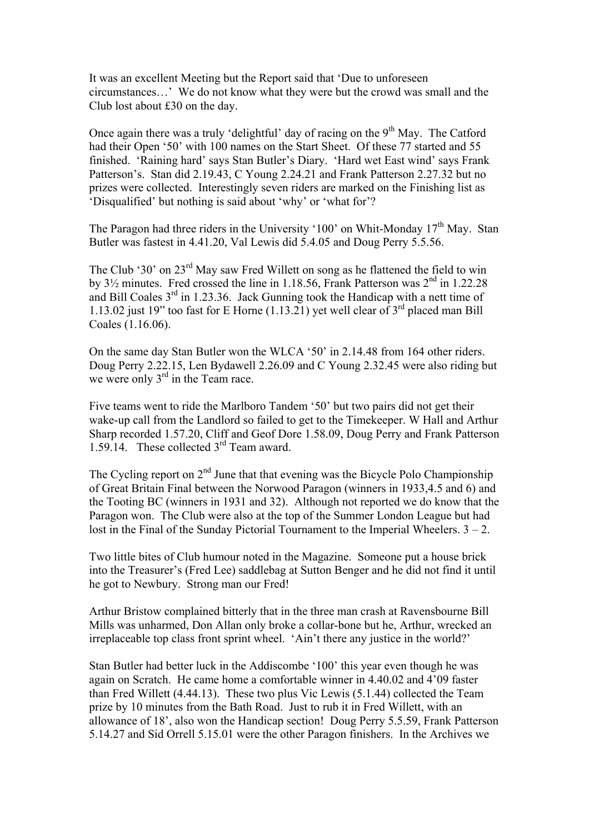It was an excellent Meeting but the Report said that 'Due to unforeseen circumstances…' We do not know what they were but the crowd was small and the Club lost about £30 on the day.

Once again there was a truly 'delightful' day of racing on the  $9<sup>th</sup>$  May. The Catford had their Open '50' with 100 names on the Start Sheet. Of these 77 started and 55 finished. 'Raining hard' says Stan Butler's Diary. 'Hard wet East wind' says Frank Patterson's. Stan did 2.19.43, C Young 2.24.21 and Frank Patterson 2.27.32 but no prizes were collected. Interestingly seven riders are marked on the Finishing list as 'Disqualified' but nothing is said about 'why' or 'what for'?

The Paragon had three riders in the University '100' on Whit-Monday 17<sup>th</sup> May. Stan Butler was fastest in 4.41.20, Val Lewis did 5.4.05 and Doug Perry 5.5.56.

The Club '30' on 23<sup>rd</sup> May saw Fred Willett on song as he flattened the field to win by  $3\frac{1}{2}$  minutes. Fred crossed the line in 1.18.56, Frank Patterson was  $2<sup>nd</sup>$  in 1.22.28 and Bill Coales  $3<sup>rd</sup>$  in 1.23.36. Jack Gunning took the Handicap with a nett time of 1.13.02 just 19" too fast for E Horne  $(1.13.21)$  vet well clear of  $3<sup>rd</sup>$  placed man Bill Coales (1.16.06).

On the same day Stan Butler won the WLCA '50' in 2.14.48 from 164 other riders. Doug Perry 2.22.15, Len Bydawell 2.26.09 and C Young 2.32.45 were also riding but we were only  $3<sup>rd</sup>$  in the Team race.

Five teams went to ride the Marlboro Tandem '50' but two pairs did not get their wake-up call from the Landlord so failed to get to the Timekeeper. W Hall and Arthur Sharp recorded 1.57.20, Cliff and Geof Dore 1.58.09, Doug Perry and Frank Patterson 1.59.14. These collected 3rd Team award.

The Cycling report on  $2<sup>nd</sup>$  June that that evening was the Bicycle Polo Championship of Great Britain Final between the Norwood Paragon (winners in 1933,4.5 and 6) and the Tooting BC (winners in 1931 and 32). Although not reported we do know that the Paragon won. The Club were also at the top of the Summer London League but had lost in the Final of the Sunday Pictorial Tournament to the Imperial Wheelers.  $3 - 2$ .

Two little bites of Club humour noted in the Magazine. Someone put a house brick into the Treasurer's (Fred Lee) saddlebag at Sutton Benger and he did not find it until he got to Newbury. Strong man our Fred!

Arthur Bristow complained bitterly that in the three man crash at Ravensbourne Bill Mills was unharmed, Don Allan only broke a collar-bone but he, Arthur, wrecked an irreplaceable top class front sprint wheel. 'Ain't there any justice in the world?'

Stan Butler had better luck in the Addiscombe '100' this year even though he was again on Scratch. He came home a comfortable winner in 4.40.02 and 4'09 faster than Fred Willett (4.44.13). These two plus Vic Lewis (5.1.44) collected the Team prize by 10 minutes from the Bath Road. Just to rub it in Fred Willett, with an allowance of 18', also won the Handicap section! Doug Perry 5.5.59, Frank Patterson 5.14.27 and Sid Orrell 5.15.01 were the other Paragon finishers. In the Archives we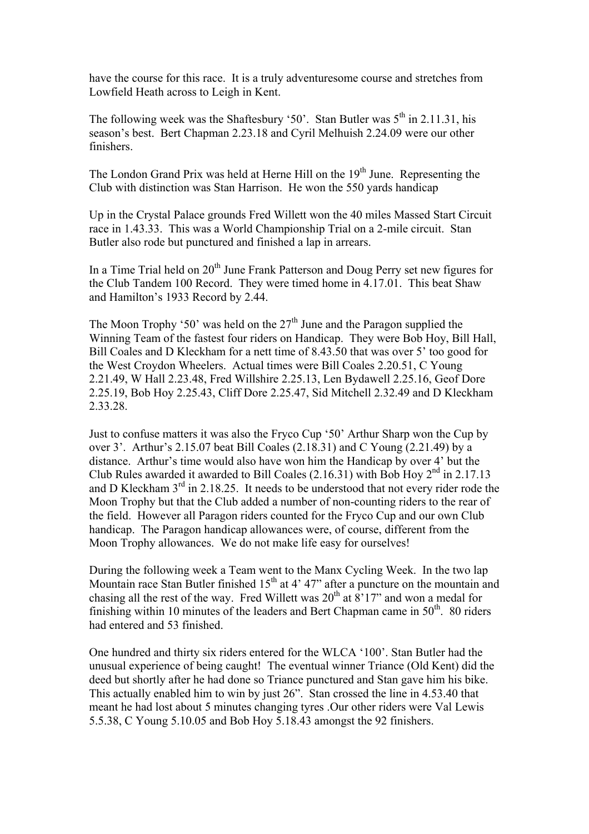have the course for this race. It is a truly adventuresome course and stretches from Lowfield Heath across to Leigh in Kent.

The following week was the Shaftesbury '50'. Stan Butler was  $5<sup>th</sup>$  in 2.11.31, his season's best. Bert Chapman 2.23.18 and Cyril Melhuish 2.24.09 were our other finishers.

The London Grand Prix was held at Herne Hill on the  $19<sup>th</sup>$  June. Representing the Club with distinction was Stan Harrison. He won the 550 yards handicap

Up in the Crystal Palace grounds Fred Willett won the 40 miles Massed Start Circuit race in 1.43.33. This was a World Championship Trial on a 2-mile circuit. Stan Butler also rode but punctured and finished a lap in arrears.

In a Time Trial held on  $20<sup>th</sup>$  June Frank Patterson and Doug Perry set new figures for the Club Tandem 100 Record. They were timed home in 4.17.01. This beat Shaw and Hamilton's 1933 Record by 2.44.

The Moon Trophy '50' was held on the  $27<sup>th</sup>$  June and the Paragon supplied the Winning Team of the fastest four riders on Handicap. They were Bob Hoy, Bill Hall, Bill Coales and D Kleckham for a nett time of 8.43.50 that was over 5' too good for the West Croydon Wheelers. Actual times were Bill Coales 2.20.51, C Young 2.21.49, W Hall 2.23.48, Fred Willshire 2.25.13, Len Bydawell 2.25.16, Geof Dore 2.25.19, Bob Hoy 2.25.43, Cliff Dore 2.25.47, Sid Mitchell 2.32.49 and D Kleckham 2.33.28.

Just to confuse matters it was also the Fryco Cup '50' Arthur Sharp won the Cup by over 3'. Arthur's 2.15.07 beat Bill Coales (2.18.31) and C Young (2.21.49) by a distance. Arthur's time would also have won him the Handicap by over 4' but the Club Rules awarded it awarded to Bill Coales (2.16.31) with Bob Hoy  $2<sup>nd</sup>$  in 2.17.13 and D Kleckham  $3<sup>rd</sup>$  in 2.18.25. It needs to be understood that not every rider rode the Moon Trophy but that the Club added a number of non-counting riders to the rear of the field. However all Paragon riders counted for the Fryco Cup and our own Club handicap. The Paragon handicap allowances were, of course, different from the Moon Trophy allowances. We do not make life easy for ourselves!

During the following week a Team went to the Manx Cycling Week. In the two lap Mountain race Stan Butler finished  $15<sup>th</sup>$  at 4' 47" after a puncture on the mountain and chasing all the rest of the way. Fred Willett was  $20<sup>th</sup>$  at  $8'17''$  and won a medal for finishing within 10 minutes of the leaders and Bert Chapman came in  $50<sup>th</sup>$ . 80 riders had entered and 53 finished.

One hundred and thirty six riders entered for the WLCA '100'. Stan Butler had the unusual experience of being caught! The eventual winner Triance (Old Kent) did the deed but shortly after he had done so Triance punctured and Stan gave him his bike. This actually enabled him to win by just 26". Stan crossed the line in 4.53.40 that meant he had lost about 5 minutes changing tyres .Our other riders were Val Lewis 5.5.38, C Young 5.10.05 and Bob Hoy 5.18.43 amongst the 92 finishers.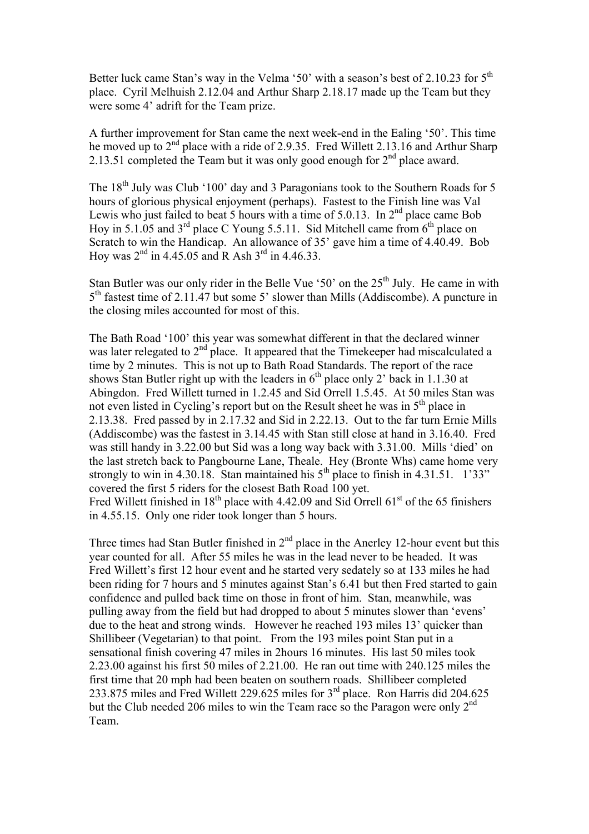Better luck came Stan's way in the Velma '50' with a season's best of 2.10.23 for 5<sup>th</sup> place. Cyril Melhuish 2.12.04 and Arthur Sharp 2.18.17 made up the Team but they were some 4' adrift for the Team prize.

A further improvement for Stan came the next week-end in the Ealing '50'. This time he moved up to  $2<sup>nd</sup>$  place with a ride of 2.9.35. Fred Willett 2.13.16 and Arthur Sharp 2.13.51 completed the Team but it was only good enough for  $2<sup>nd</sup>$  place award.

The  $18<sup>th</sup>$  July was Club '100' day and 3 Paragonians took to the Southern Roads for 5 hours of glorious physical enjoyment (perhaps). Fastest to the Finish line was Val Lewis who just failed to beat 5 hours with a time of 5.0.13. In  $2<sup>nd</sup>$  place came Bob Hoy in 5.1.05 and  $3^{rd}$  place C Young 5.5.11. Sid Mitchell came from  $6^{th}$  place on Scratch to win the Handicap. An allowance of 35' gave him a time of 4.40.49. Bob Hoy was  $2^{nd}$  in 4.45.05 and R Ash  $3^{rd}$  in 4.46.33.

Stan Butler was our only rider in the Belle Vue '50' on the  $25<sup>th</sup>$  July. He came in with 5th fastest time of 2.11.47 but some 5' slower than Mills (Addiscombe). A puncture in the closing miles accounted for most of this.

The Bath Road '100' this year was somewhat different in that the declared winner was later relegated to  $2<sup>nd</sup>$  place. It appeared that the Timekeeper had miscalculated a time by 2 minutes. This is not up to Bath Road Standards. The report of the race shows Stan Butler right up with the leaders in  $6<sup>th</sup>$  place only 2' back in 1.1.30 at Abingdon. Fred Willett turned in 1.2.45 and Sid Orrell 1.5.45. At 50 miles Stan was not even listed in Cycling's report but on the Result sheet he was in  $5<sup>th</sup>$  place in 2.13.38. Fred passed by in 2.17.32 and Sid in 2.22.13. Out to the far turn Ernie Mills (Addiscombe) was the fastest in 3.14.45 with Stan still close at hand in 3.16.40. Fred was still handy in 3.22.00 but Sid was a long way back with 3.31.00. Mills 'died' on the last stretch back to Pangbourne Lane, Theale. Hey (Bronte Whs) came home very strongly to win in 4.30.18. Stan maintained his  $5<sup>th</sup>$  place to finish in 4.31.51. 1'33" covered the first 5 riders for the closest Bath Road 100 yet. Fred Willett finished in  $18<sup>th</sup>$  place with 4.42.09 and Sid Orrell 61<sup>st</sup> of the 65 finishers in 4.55.15. Only one rider took longer than 5 hours.

Three times had Stan Butler finished in  $2<sup>nd</sup>$  place in the Anerley 12-hour event but this year counted for all. After 55 miles he was in the lead never to be headed. It was Fred Willett's first 12 hour event and he started very sedately so at 133 miles he had been riding for 7 hours and 5 minutes against Stan's 6.41 but then Fred started to gain confidence and pulled back time on those in front of him. Stan, meanwhile, was pulling away from the field but had dropped to about 5 minutes slower than 'evens' due to the heat and strong winds. However he reached 193 miles 13' quicker than Shillibeer (Vegetarian) to that point. From the 193 miles point Stan put in a sensational finish covering 47 miles in 2hours 16 minutes. His last 50 miles took 2.23.00 against his first 50 miles of 2.21.00. He ran out time with 240.125 miles the first time that 20 mph had been beaten on southern roads. Shillibeer completed 233.875 miles and Fred Willett 229.625 miles for 3rd place. Ron Harris did 204.625 but the Club needed 206 miles to win the Team race so the Paragon were only  $2^{nd}$ Team.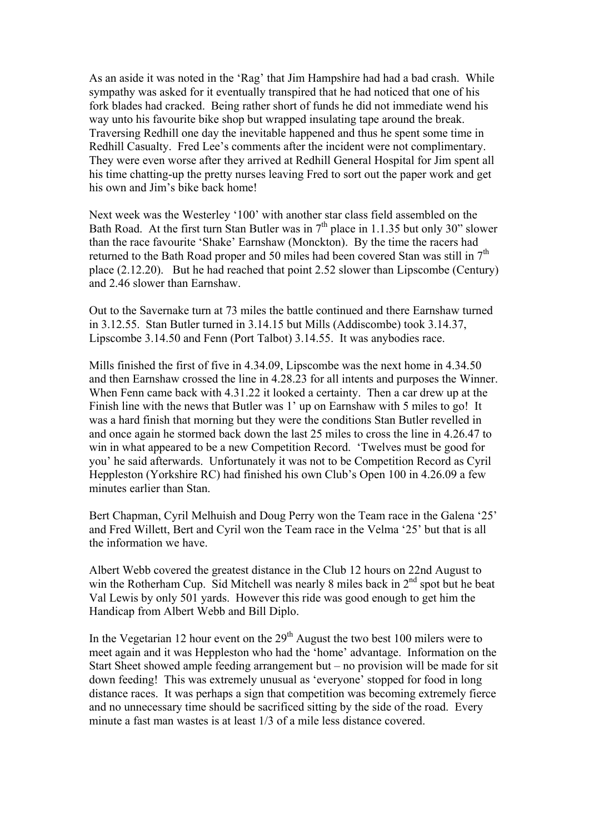As an aside it was noted in the 'Rag' that Jim Hampshire had had a bad crash. While sympathy was asked for it eventually transpired that he had noticed that one of his fork blades had cracked. Being rather short of funds he did not immediate wend his way unto his favourite bike shop but wrapped insulating tape around the break. Traversing Redhill one day the inevitable happened and thus he spent some time in Redhill Casualty. Fred Lee's comments after the incident were not complimentary. They were even worse after they arrived at Redhill General Hospital for Jim spent all his time chatting-up the pretty nurses leaving Fred to sort out the paper work and get his own and Jim's bike back home!

Next week was the Westerley '100' with another star class field assembled on the Bath Road. At the first turn Stan Butler was in  $7<sup>th</sup>$  place in 1.1.35 but only 30" slower than the race favourite 'Shake' Earnshaw (Monckton). By the time the racers had returned to the Bath Road proper and 50 miles had been covered Stan was still in 7<sup>th</sup> place (2.12.20). But he had reached that point 2.52 slower than Lipscombe (Century) and 2.46 slower than Earnshaw.

Out to the Savernake turn at 73 miles the battle continued and there Earnshaw turned in 3.12.55. Stan Butler turned in 3.14.15 but Mills (Addiscombe) took 3.14.37, Lipscombe 3.14.50 and Fenn (Port Talbot) 3.14.55. It was anybodies race.

Mills finished the first of five in 4.34.09, Lipscombe was the next home in 4.34.50 and then Earnshaw crossed the line in 4.28.23 for all intents and purposes the Winner. When Fenn came back with 4.31.22 it looked a certainty. Then a car drew up at the Finish line with the news that Butler was 1' up on Earnshaw with 5 miles to go! It was a hard finish that morning but they were the conditions Stan Butler revelled in and once again he stormed back down the last 25 miles to cross the line in 4.26.47 to win in what appeared to be a new Competition Record. 'Twelves must be good for you' he said afterwards. Unfortunately it was not to be Competition Record as Cyril Heppleston (Yorkshire RC) had finished his own Club's Open 100 in 4.26.09 a few minutes earlier than Stan.

Bert Chapman, Cyril Melhuish and Doug Perry won the Team race in the Galena '25' and Fred Willett, Bert and Cyril won the Team race in the Velma '25' but that is all the information we have.

Albert Webb covered the greatest distance in the Club 12 hours on 22nd August to win the Rotherham Cup. Sid Mitchell was nearly 8 miles back in 2<sup>nd</sup> spot but he beat Val Lewis by only 501 yards. However this ride was good enough to get him the Handicap from Albert Webb and Bill Diplo.

In the Vegetarian 12 hour event on the  $29<sup>th</sup>$  August the two best 100 milers were to meet again and it was Heppleston who had the 'home' advantage. Information on the Start Sheet showed ample feeding arrangement but – no provision will be made for sit down feeding! This was extremely unusual as 'everyone' stopped for food in long distance races. It was perhaps a sign that competition was becoming extremely fierce and no unnecessary time should be sacrificed sitting by the side of the road. Every minute a fast man wastes is at least 1/3 of a mile less distance covered.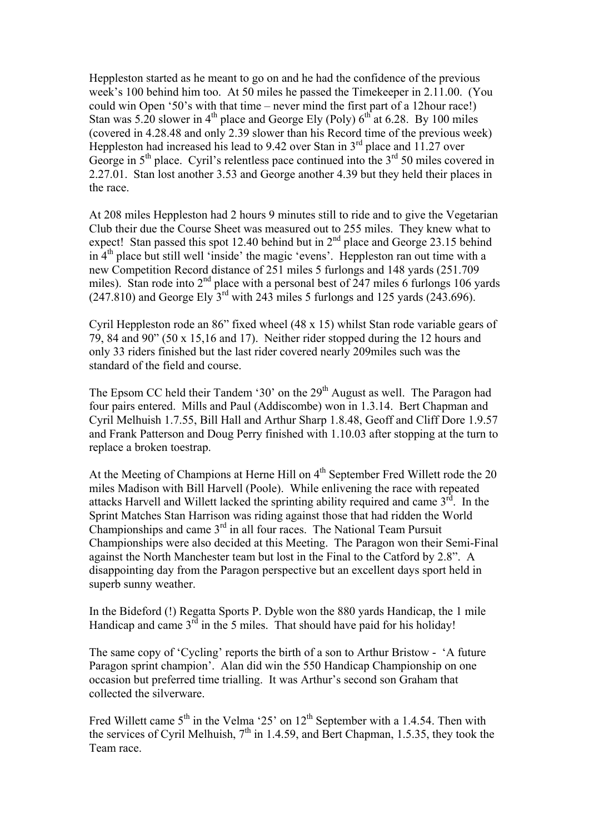Heppleston started as he meant to go on and he had the confidence of the previous week's 100 behind him too. At 50 miles he passed the Timekeeper in 2.11.00. (You could win Open '50's with that time – never mind the first part of a 12hour race!) Stan was 5.20 slower in  $4<sup>th</sup>$  place and George Ely (Poly)  $6<sup>th</sup>$  at 6.28. By 100 miles (covered in 4.28.48 and only 2.39 slower than his Record time of the previous week) Heppleston had increased his lead to 9.42 over Stan in  $3<sup>rd</sup>$  place and 11.27 over George in  $5<sup>th</sup>$  place. Cyril's relentless pace continued into the  $3<sup>rd</sup> 50$  miles covered in 2.27.01. Stan lost another 3.53 and George another 4.39 but they held their places in the race.

At 208 miles Heppleston had 2 hours 9 minutes still to ride and to give the Vegetarian Club their due the Course Sheet was measured out to 255 miles. They knew what to expect! Stan passed this spot 12.40 behind but in  $2<sup>nd</sup>$  place and George 23.15 behind in 4th place but still well 'inside' the magic 'evens'. Heppleston ran out time with a new Competition Record distance of 251 miles 5 furlongs and 148 yards (251.709 miles). Stan rode into  $2<sup>nd</sup>$  place with a personal best of  $247$  miles 6 furlongs 106 yards  $(247.810)$  and George Ely  $3<sup>rd</sup>$  with 243 miles 5 furlongs and 125 yards  $(243.696)$ .

Cyril Heppleston rode an 86" fixed wheel (48 x 15) whilst Stan rode variable gears of 79, 84 and 90" (50 x 15,16 and 17). Neither rider stopped during the 12 hours and only 33 riders finished but the last rider covered nearly 209miles such was the standard of the field and course.

The Epsom CC held their Tandem '30' on the  $29<sup>th</sup>$  August as well. The Paragon had four pairs entered. Mills and Paul (Addiscombe) won in 1.3.14. Bert Chapman and Cyril Melhuish 1.7.55, Bill Hall and Arthur Sharp 1.8.48, Geoff and Cliff Dore 1.9.57 and Frank Patterson and Doug Perry finished with 1.10.03 after stopping at the turn to replace a broken toestrap.

At the Meeting of Champions at Herne Hill on  $4<sup>th</sup>$  September Fred Willett rode the 20 miles Madison with Bill Harvell (Poole). While enlivening the race with repeated attacks Harvell and Willett lacked the sprinting ability required and came  $3<sup>rd</sup>$ . In the Sprint Matches Stan Harrison was riding against those that had ridden the World Championships and came 3rd in all four races. The National Team Pursuit Championships were also decided at this Meeting. The Paragon won their Semi-Final against the North Manchester team but lost in the Final to the Catford by 2.8". A disappointing day from the Paragon perspective but an excellent days sport held in superb sunny weather.

In the Bideford (!) Regatta Sports P. Dyble won the 880 yards Handicap, the 1 mile Handicap and came  $3<sup>rd</sup>$  in the 5 miles. That should have paid for his holiday!

The same copy of 'Cycling' reports the birth of a son to Arthur Bristow - 'A future Paragon sprint champion'. Alan did win the 550 Handicap Championship on one occasion but preferred time trialling. It was Arthur's second son Graham that collected the silverware.

Fred Willett came  $5<sup>th</sup>$  in the Velma '25' on  $12<sup>th</sup>$  September with a 1.4.54. Then with the services of Cyril Melhuish,  $7<sup>th</sup>$  in 1.4.59, and Bert Chapman, 1.5.35, they took the Team race.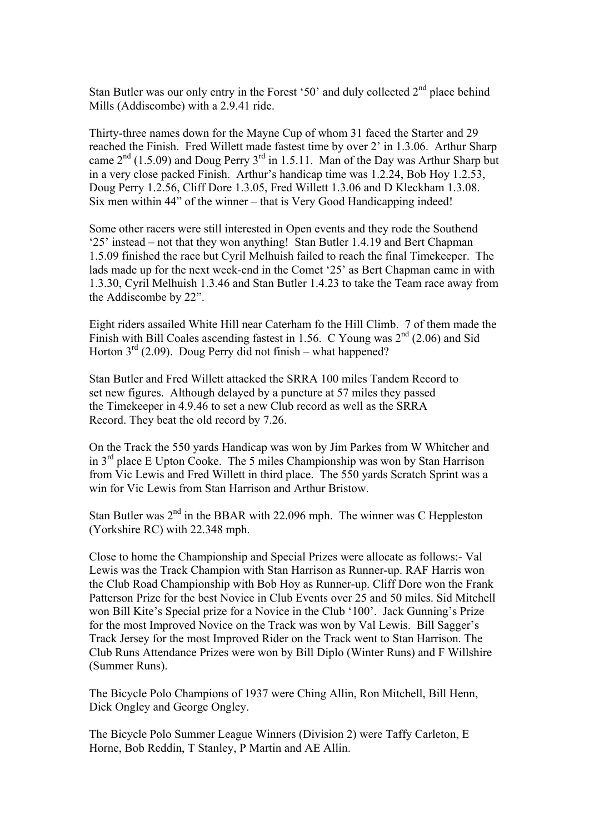Stan Butler was our only entry in the Forest '50' and duly collected  $2<sup>nd</sup>$  place behind Mills (Addiscombe) with a 2.9.41 ride.

Thirty-three names down for the Mayne Cup of whom 31 faced the Starter and 29 reached the Finish. Fred Willett made fastest time by over 2' in 1.3.06. Arthur Sharp came  $2<sup>nd</sup>$  (1.5.09) and Doug Perry  $3<sup>rd</sup>$  in 1.5.11. Man of the Day was Arthur Sharp but in a very close packed Finish. Arthur's handicap time was 1.2.24, Bob Hoy 1.2.53, Doug Perry 1.2.56, Cliff Dore 1.3.05, Fred Willett 1.3.06 and D Kleckham 1.3.08. Six men within 44" of the winner – that is Very Good Handicapping indeed!

Some other racers were still interested in Open events and they rode the Southend '25' instead – not that they won anything! Stan Butler 1.4.19 and Bert Chapman 1.5.09 finished the race but Cyril Melhuish failed to reach the final Timekeeper. The lads made up for the next week-end in the Comet '25' as Bert Chapman came in with 1.3.30, Cyril Melhuish 1.3.46 and Stan Butler 1.4.23 to take the Team race away from the Addiscombe by 22".

Eight riders assailed White Hill near Caterham fo the Hill Climb. 7 of them made the Finish with Bill Coales ascending fastest in 1.56. C Young was  $2<sup>nd</sup>$  (2.06) and Sid Horton  $3^{rd}$  (2.09). Doug Perry did not finish – what happened?

Stan Butler and Fred Willett attacked the SRRA 100 miles Tandem Record to set new figures. Although delayed by a puncture at 57 miles they passed the Timekeeper in 4.9.46 to set a new Club record as well as the SRRA Record. They beat the old record by 7.26.

On the Track the 550 yards Handicap was won by Jim Parkes from W Whitcher and in  $3<sup>rd</sup>$  place E Upton Cooke. The 5 miles Championship was won by Stan Harrison from Vic Lewis and Fred Willett in third place. The 550 yards Scratch Sprint was a win for Vic Lewis from Stan Harrison and Arthur Bristow.

Stan Butler was  $2<sup>nd</sup>$  in the BBAR with 22.096 mph. The winner was C Heppleston (Yorkshire RC) with 22.348 mph.

Close to home the Championship and Special Prizes were allocate as follows:- Val Lewis was the Track Champion with Stan Harrison as Runner-up. RAF Harris won the Club Road Championship with Bob Hoy as Runner-up. Cliff Dore won the Frank Patterson Prize for the best Novice in Club Events over 25 and 50 miles. Sid Mitchell won Bill Kite's Special prize for a Novice in the Club '100'. Jack Gunning's Prize for the most Improved Novice on the Track was won by Val Lewis. Bill Sagger's Track Jersey for the most Improved Rider on the Track went to Stan Harrison. The Club Runs Attendance Prizes were won by Bill Diplo (Winter Runs) and F Willshire (Summer Runs).

The Bicycle Polo Champions of 1937 were Ching Allin, Ron Mitchell, Bill Henn, Dick Ongley and George Ongley.

The Bicycle Polo Summer League Winners (Division 2) were Taffy Carleton, E Horne, Bob Reddin, T Stanley, P Martin and AE Allin.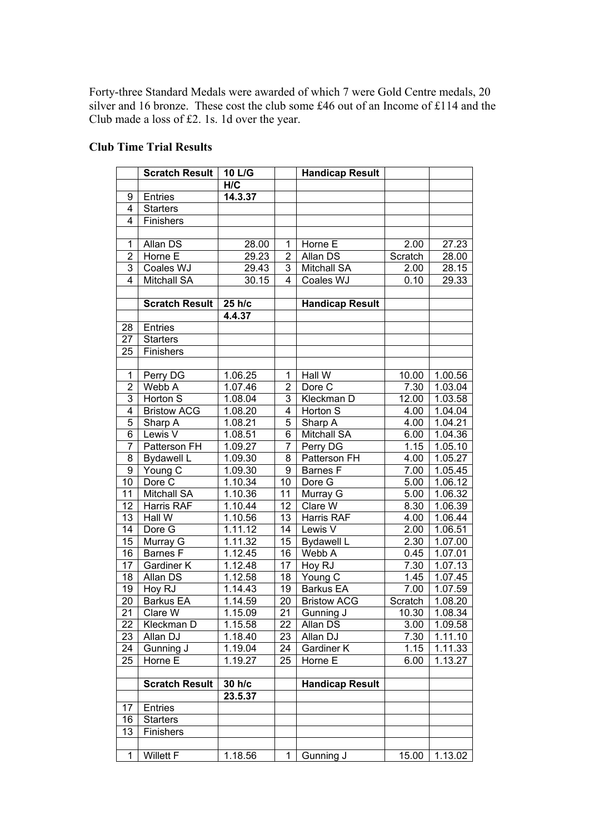Forty-three Standard Medals were awarded of which 7 were Gold Centre medals, 20 silver and 16 bronze. These cost the club some £46 out of an Income of £114 and the Club made a loss of £2. 1s. 1d over the year.

## **Club Time Trial Results**

|                 | <b>Scratch Result</b> | 10 L/G  |                | <b>Handicap Result</b> |         |         |
|-----------------|-----------------------|---------|----------------|------------------------|---------|---------|
|                 |                       | H/C     |                |                        |         |         |
| 9               | <b>Entries</b>        | 14.3.37 |                |                        |         |         |
| 4               | <b>Starters</b>       |         |                |                        |         |         |
| 4               | Finishers             |         |                |                        |         |         |
|                 |                       |         |                |                        |         |         |
| 1               | Allan DS              | 28.00   | 1              | Horne E                | 2.00    | 27.23   |
| 2               | Horne E               | 29.23   | 2              | Allan DS               | Scratch | 28.00   |
| 3               | Coales WJ             | 29.43   | 3              | <b>Mitchall SA</b>     | 2.00    | 28.15   |
| 4               | <b>Mitchall SA</b>    | 30.15   | 4              | Coales WJ              | 0.10    | 29.33   |
|                 |                       |         |                |                        |         |         |
|                 | <b>Scratch Result</b> | 25 h/c  |                | <b>Handicap Result</b> |         |         |
|                 |                       | 4.4.37  |                |                        |         |         |
| 28              | Entries               |         |                |                        |         |         |
| 27              | <b>Starters</b>       |         |                |                        |         |         |
| 25              | Finishers             |         |                |                        |         |         |
|                 |                       |         |                |                        |         |         |
| 1               | Perry DG              | 1.06.25 | 1              | Hall W                 | 10.00   | 1.00.56 |
| $\mathbf 2$     | Webb A                | 1.07.46 | $\overline{2}$ | Dore C                 | 7.30    | 1.03.04 |
| 3               | Horton S              | 1.08.04 | 3              | Kleckman D             | 12.00   | 1.03.58 |
| 4               | <b>Bristow ACG</b>    | 1.08.20 | 4              | Horton S               | 4.00    | 1.04.04 |
| 5               | Sharp A               | 1.08.21 | 5              | Sharp A                | 4.00    | 1.04.21 |
| 6               | Lewis V               | 1.08.51 | 6              | <b>Mitchall SA</b>     | 6.00    | 1.04.36 |
| 7               | Patterson FH          | 1.09.27 | 7              | Perry DG               | 1.15    | 1.05.10 |
| 8               | <b>Bydawell L</b>     | 1.09.30 | 8              | Patterson FH           | 4.00    | 1.05.27 |
| 9               | Young C               | 1.09.30 | 9              | <b>Barnes F</b>        | 7.00    | 1.05.45 |
| 10              | Dore C                | 1.10.34 | 10             | Dore G                 | 5.00    | 1.06.12 |
| 11              | <b>Mitchall SA</b>    | 1.10.36 | 11             | Murray G               | 5.00    | 1.06.32 |
| 12              | Harris RAF            | 1.10.44 | 12             | Clare W                | 8.30    | 1.06.39 |
| 13              | Hall W                | 1.10.56 | 13             | Harris RAF             | 4.00    | 1.06.44 |
| 14              | Dore G                | 1.11.12 | 14             | Lewis V                | 2.00    | 1.06.51 |
| $\overline{15}$ | Murray G              | 1.11.32 | 15             | <b>Bydawell L</b>      | 2.30    | 1.07.00 |
| 16              | <b>Barnes</b> F       | 1.12.45 | 16             | Webb A                 | 0.45    | 1.07.01 |
| 17              | Gardiner K            | 1.12.48 | 17             | Hoy RJ                 | 7.30    | 1.07.13 |
| 18              | Allan DS              | 1.12.58 | 18             | Young C                | 1.45    | 1.07.45 |
| 19              | Hoy RJ                | 1.14.43 | 19             | <b>Barkus EA</b>       | 7.00    | 1.07.59 |
| $\overline{20}$ | <b>Barkus EA</b>      | 1.14.59 | 20             | <b>Bristow ACG</b>     | Scratch | 1.08.20 |
| 21              | Clare W               | 1.15.09 | 21             | Gunning J              | 10.30   | 1.08.34 |
| 22              | Kleckman D            | 1.15.58 | 22             | Allan DS               | 3.00    | 1.09.58 |
| 23              | Allan DJ              | 1.18.40 | 23             | Allan DJ               | 7.30    | 1.11.10 |
| 24              | Gunning J             | 1.19.04 | 24             | Gardiner K             | 1.15    | 1.11.33 |
| 25              | Horne E               | 1.19.27 | 25             | Horne E                | 6.00    | 1.13.27 |
|                 |                       |         |                |                        |         |         |
|                 | <b>Scratch Result</b> | 30 h/c  |                | <b>Handicap Result</b> |         |         |
|                 |                       | 23.5.37 |                |                        |         |         |
| 17              | Entries               |         |                |                        |         |         |
| 16              | <b>Starters</b>       |         |                |                        |         |         |
| 13              | Finishers             |         |                |                        |         |         |
|                 |                       |         |                |                        |         |         |
| 1               | <b>Willett F</b>      | 1.18.56 | $\mathbf{1}$   | Gunning J              | 15.00   | 1.13.02 |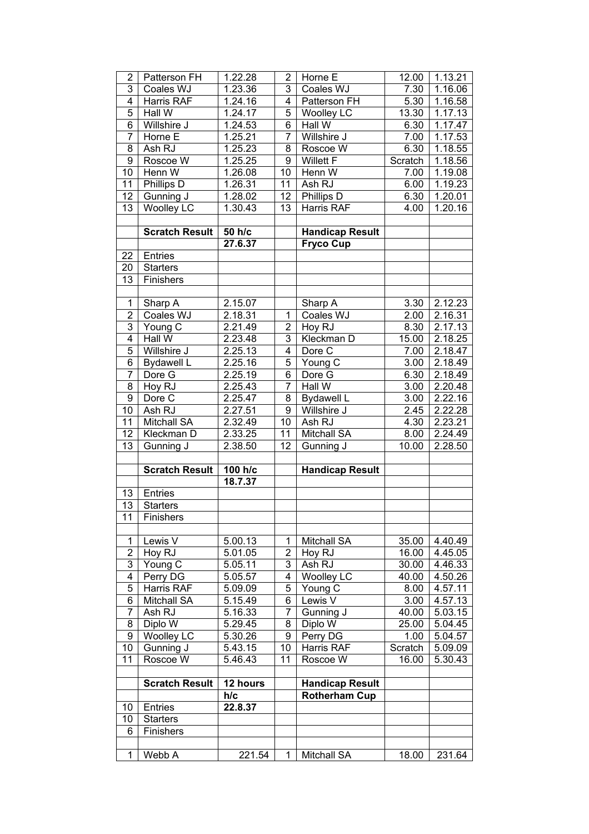| 2              | Patterson FH          | 1.22.28  | $\overline{2}$  | Horne E                | 12.00   | 1.13.21 |
|----------------|-----------------------|----------|-----------------|------------------------|---------|---------|
| 3              | Coales WJ             | 1.23.36  | 3               | Coales WJ              | 7.30    | 1.16.06 |
| 4              | Harris RAF            | 1.24.16  | 4               | Patterson FH           | 5.30    | 1.16.58 |
| 5              | Hall W                | 1.24.17  | 5               | <b>Woolley LC</b>      | 13.30   | 1.17.13 |
| 6              | Willshire J           | 1.24.53  | 6               | Hall W                 | 6.30    | 1.17.47 |
| $\overline{7}$ | Horne E               | 1.25.21  | 7               | Willshire J            | 7.00    | 1.17.53 |
| 8              | Ash RJ                | 1.25.23  | 8               | Roscoe W               | 6.30    | 1.18.55 |
| 9              | Roscoe W              | 1.25.25  | 9               | <b>Willett F</b>       | Scratch | 1.18.56 |
| 10             | Henn W                | 1.26.08  | 10              | Henn W                 | 7.00    | 1.19.08 |
| 11             | Phillips D            | 1.26.31  | 11              | Ash RJ                 | 6.00    | 1.19.23 |
| 12             | Gunning J             | 1.28.02  | 12              | Phillips D             | 6.30    | 1.20.01 |
| 13             | <b>Woolley LC</b>     | 1.30.43  | $\overline{1}3$ | Harris RAF             | 4.00    | 1.20.16 |
|                |                       |          |                 |                        |         |         |
|                | <b>Scratch Result</b> | 50 h/c   |                 | <b>Handicap Result</b> |         |         |
|                |                       | 27.6.37  |                 | <b>Fryco Cup</b>       |         |         |
| 22             | Entries               |          |                 |                        |         |         |
| 20             | <b>Starters</b>       |          |                 |                        |         |         |
| 13             | Finishers             |          |                 |                        |         |         |
|                |                       |          |                 |                        |         |         |
| $\mathbf 1$    | Sharp A               | 2.15.07  |                 | Sharp A                | 3.30    | 2.12.23 |
| $\overline{2}$ | Coales WJ             | 2.18.31  | 1               | Coales WJ              | 2.00    | 2.16.31 |
| 3              | Young C               | 2.21.49  | $\overline{2}$  | Hoy RJ                 | 8.30    | 2.17.13 |
| 4              | Hall W                | 2.23.48  | 3               | Kleckman D             | 15.00   | 2.18.25 |
| $\overline{5}$ | Willshire J           |          | 4               | Dore C                 | 7.00    | 2.18.47 |
| 6              |                       | 2.25.13  | 5               |                        |         |         |
| $\overline{7}$ | <b>Bydawell L</b>     | 2.25.16  |                 | Young C                | 3.00    | 2.18.49 |
|                | Dore G                | 2.25.19  | 6<br>7          | Dore G                 | 6.30    | 2.18.49 |
| 8              | Hoy RJ                | 2.25.43  |                 | Hall W                 | 3.00    | 2.20.48 |
| 9              | Dore C                | 2.25.47  | 8               | <b>Bydawell L</b>      | 3.00    | 2.22.16 |
| 10             | Ash RJ                | 2.27.51  | 9               | Willshire J            | 2.45    | 2.22.28 |
| 11             | Mitchall SA           | 2.32.49  | 10              | Ash RJ                 | 4.30    | 2.23.21 |
| 12             | Kleckman D            | 2.33.25  | 11              | <b>Mitchall SA</b>     | 8.00    | 2.24.49 |
| 13             | Gunning J             | 2.38.50  | 12              | Gunning J              | 10.00   | 2.28.50 |
|                |                       |          |                 |                        |         |         |
|                | <b>Scratch Result</b> | 100 h/c  |                 | <b>Handicap Result</b> |         |         |
|                |                       | 18.7.37  |                 |                        |         |         |
| 13             | Entries               |          |                 |                        |         |         |
| 13             | <b>Starters</b>       |          |                 |                        |         |         |
| 11             | Finishers             |          |                 |                        |         |         |
|                |                       |          |                 |                        |         |         |
| 1              | Lewis $\overline{V}$  | 5.00.13  | 1               | Mitchall SA            | 35.00   | 4.40.49 |
| $\overline{2}$ | Hoy RJ                | 5.01.05  | $\overline{2}$  | Hoy RJ                 | 16.00   | 4.45.05 |
| 3              | Young C               | 5.05.11  | 3               | Ash RJ                 | 30.00   | 4.46.33 |
| 4              | Perry DG              | 5.05.57  | 4               | <b>Woolley LC</b>      | 40.00   | 4.50.26 |
| 5              | Harris RAF            | 5.09.09  | 5               | Young C                | 8.00    | 4.57.11 |
| 6              | <b>Mitchall SA</b>    | 5.15.49  | 6               | Lewis V                | 3.00    | 4.57.13 |
| 7              | Ash RJ                | 5.16.33  | 7               | Gunning J              | 40.00   | 5.03.15 |
| 8              | Diplo W               | 5.29.45  | 8               | Diplo W                | 25.00   | 5.04.45 |
| 9              | <b>Woolley LC</b>     | 5.30.26  | 9               | Perry DG               | 1.00    | 5.04.57 |
| 10             | Gunning J             | 5.43.15  | 10              | Harris RAF             | Scratch | 5.09.09 |
| 11             | Roscoe W              | 5.46.43  | 11              | Roscoe W               | 16.00   | 5.30.43 |
|                |                       |          |                 |                        |         |         |
|                | <b>Scratch Result</b> | 12 hours |                 | <b>Handicap Result</b> |         |         |
|                |                       | h/c      |                 | <b>Rotherham Cup</b>   |         |         |
| 10             | Entries               | 22.8.37  |                 |                        |         |         |
| 10             | <b>Starters</b>       |          |                 |                        |         |         |
| 6              | <b>Finishers</b>      |          |                 |                        |         |         |
|                |                       |          |                 |                        |         |         |
| 1              | Webb A                | 221.54   | 1               | Mitchall SA            | 18.00   | 231.64  |